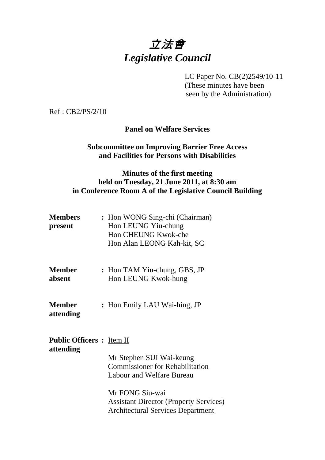# 立法會 *Legislative Council*

LC Paper No. CB(2)2549/10-11

 (These minutes have been seen by the Administration)

Ref : CB2/PS/2/10

## **Panel on Welfare Services**

## **Subcommittee on Improving Barrier Free Access and Facilities for Persons with Disabilities**

## **Minutes of the first meeting held on Tuesday, 21 June 2011, at 8:30 am in Conference Room A of the Legislative Council Building**

| <b>Members</b> | : Hon WONG Sing-chi (Chairman) |
|----------------|--------------------------------|
| present        | Hon LEUNG Yiu-chung            |
|                | Hon CHEUNG Kwok-che            |
|                | Hon Alan LEONG Kah-kit, SC     |

- **Member** : Hon TAM Yiu-chung, GBS, JP **absent Hon LEUNG Kwok-hung**
- **Member** : Hon Emily LAU Wai-hing, JP **attending**

## **Public Officers :** Item II

**attending** 

Mr Stephen SUI Wai-keung Commissioner for Rehabilitation Labour and Welfare Bureau

Mr FONG Siu-wai Assistant Director (Property Services) Architectural Services Department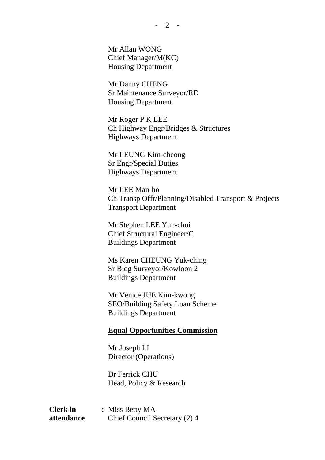Mr Allan WONG Chief Manager/M(KC) Housing Department

 Mr Danny CHENG Sr Maintenance Surveyor/RD Housing Department

 Mr Roger P K LEE Ch Highway Engr/Bridges & Structures Highways Department

 Mr LEUNG Kim-cheong Sr Engr/Special Duties Highways Department

 Mr LEE Man-ho Ch Transp Offr/Planning/Disabled Transport & Projects Transport Department

 Mr Stephen LEE Yun-choi Chief Structural Engineer/C Buildings Department

 Ms Karen CHEUNG Yuk-ching Sr Bldg Surveyor/Kowloon 2 Buildings Department

 Mr Venice JUE Kim-kwong SEO/Building Safety Loan Scheme Buildings Department

#### **Equal Opportunities Commission**

 Mr Joseph LI Director (Operations)

 Dr Ferrick CHU Head, Policy & Research

**Clerk in : Miss Betty MA attendance** Chief Council Secretary (2) 4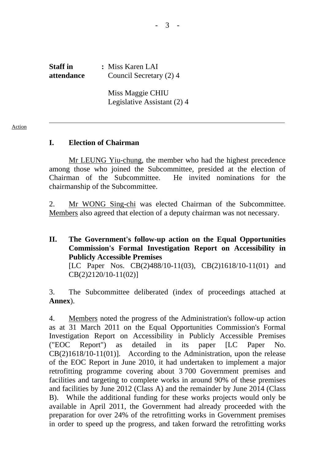**Staff in : Miss Karen LAI attendance** Council Secretary (2) 4

> Miss Maggie CHIU Legislative Assistant (2) 4

#### **I. Election of Chairman**

Mr LEUNG Yiu-chung, the member who had the highest precedence among those who joined the Subcommittee, presided at the election of Chairman of the Subcommittee. He invited nominations for the chairmanship of the Subcommittee.

2. Mr WONG Sing-chi was elected Chairman of the Subcommittee. Members also agreed that election of a deputy chairman was not necessary.

## **II. The Government's follow-up action on the Equal Opportunities Commission's Formal Investigation Report on Accessibility in Publicly Accessible Premises**  [LC Paper Nos. CB(2)488/10-11(03), CB(2)1618/10-11(01) and

CB(2)2120/10-11(02)]

3. The Subcommittee deliberated (index of proceedings attached at **Annex**).

4. Members noted the progress of the Administration's follow-up action as at 31 March 2011 on the Equal Opportunities Commission's Formal Investigation Report on Accessibility in Publicly Accessible Premises ("EOC Report") as detailed in its paper [LC Paper No. CB(2)1618/10-11(01)]. According to the Administration, upon the release of the EOC Report in June 2010, it had undertaken to implement a major retrofitting programme covering about 3,700 Government premises and facilities and targeting to complete works in around 90% of these premises and facilities by June 2012 (Class A) and the remainder by June 2014 (Class B). While the additional funding for these works projects would only be available in April 2011, the Government had already proceeded with the preparation for over 24% of the retrofitting works in Government premises in order to speed up the progress, and taken forward the retrofitting works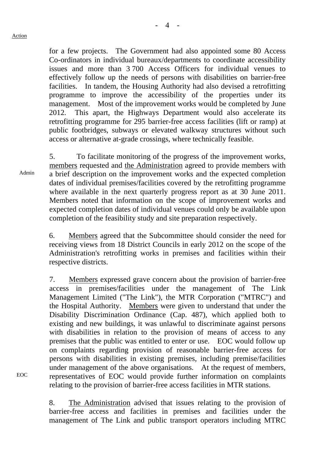Admin

for a few projects. The Government had also appointed some 80 Access Co-ordinators in individual bureaux/departments to coordinate accessibility issues and more than 3,700 Access Officers for individual venues to effectively follow up the needs of persons with disabilities on barrier-free facilities. In tandem, the Housing Authority had also devised a retrofitting programme to improve the accessibility of the properties under its management. Most of the improvement works would be completed by June 2012. This apart, the Highways Department would also accelerate its retrofitting programme for 295 barrier-free access facilities (lift or ramp) at public footbridges, subways or elevated walkway structures without such access or alternative at-grade crossings, where technically feasible.

5. To facilitate monitoring of the progress of the improvement works, members requested and the Administration agreed to provide members with a brief description on the improvement works and the expected completion dates of individual premises/facilities covered by the retrofitting programme where available in the next quarterly progress report as at 30 June 2011. Members noted that information on the scope of improvement works and expected completion dates of individual venues could only be available upon completion of the feasibility study and site preparation respectively.

6. Members agreed that the Subcommittee should consider the need for receiving views from 18 District Councils in early 2012 on the scope of the Administration's retrofitting works in premises and facilities within their respective districts.

7. Members expressed grave concern about the provision of barrier-free access in premises/facilities under the management of The Link Management Limited ("The Link"), the MTR Corporation ("MTRC") and the Hospital Authority. Members were given to understand that under the Disability Discrimination Ordinance (Cap. 487), which applied both to existing and new buildings, it was unlawful to discriminate against persons with disabilities in relation to the provision of means of access to any premises that the public was entitled to enter or use. EOC would follow up on complaints regarding provision of reasonable barrier-free access for persons with disabilities in existing premises, including premise/facilities under management of the above organisations. At the request of members, representatives of EOC would provide further information on complaints relating to the provision of barrier-free access facilities in MTR stations.

8. The Administration advised that issues relating to the provision of barrier-free access and facilities in premises and facilities under the management of The Link and public transport operators including MTRC

EOC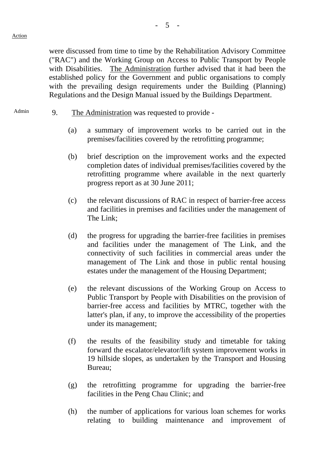were discussed from time to time by the Rehabilitation Advisory Committee ("RAC") and the Working Group on Access to Public Transport by People with Disabilities. The Administration further advised that it had been the established policy for the Government and public organisations to comply with the prevailing design requirements under the Building (Planning) Regulations and the Design Manual issued by the Buildings Department.

- Admin 9. The Administration was requested to provide -
	- (a) a summary of improvement works to be carried out in the premises/facilities covered by the retrofitting programme;
	- (b) brief description on the improvement works and the expected completion dates of individual premises/facilities covered by the retrofitting programme where available in the next quarterly progress report as at 30 June 2011;
	- (c) the relevant discussions of RAC in respect of barrier-free access and facilities in premises and facilities under the management of The Link;
	- (d) the progress for upgrading the barrier-free facilities in premises and facilities under the management of The Link, and the connectivity of such facilities in commercial areas under the management of The Link and those in public rental housing estates under the management of the Housing Department;
	- (e) the relevant discussions of the Working Group on Access to Public Transport by People with Disabilities on the provision of barrier-free access and facilities by MTRC, together with the latter's plan, if any, to improve the accessibility of the properties under its management;
	- (f) the results of the feasibility study and timetable for taking forward the escalator/elevator/lift system improvement works in 19 hillside slopes, as undertaken by the Transport and Housing Bureau;
	- (g) the retrofitting programme for upgrading the barrier-free facilities in the Peng Chau Clinic; and
	- (h) the number of applications for various loan schemes for works relating to building maintenance and improvement of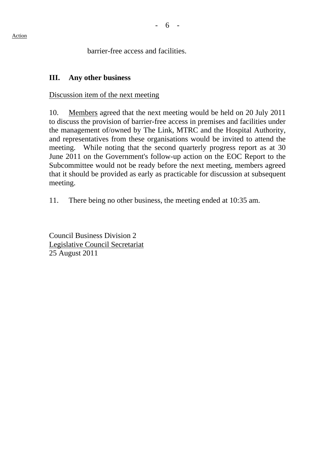Action

barrier-free access and facilities.

## **III. Any other business**

## Discussion item of the next meeting

10. Members agreed that the next meeting would be held on 20 July 2011 to discuss the provision of barrier-free access in premises and facilities under the management of/owned by The Link, MTRC and the Hospital Authority, and representatives from these organisations would be invited to attend the meeting. While noting that the second quarterly progress report as at 30 June 2011 on the Government's follow-up action on the EOC Report to the Subcommittee would not be ready before the next meeting, members agreed that it should be provided as early as practicable for discussion at subsequent meeting.

11. There being no other business, the meeting ended at 10:35 am.

Council Business Division 2 Legislative Council Secretariat 25 August 2011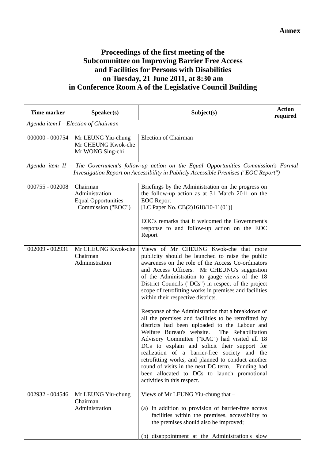## **Proceedings of the first meeting of the Subcommittee on Improving Barrier Free Access and Facilities for Persons with Disabilities on Tuesday, 21 June 2011, at 8:30 am in Conference Room A of the Legislative Council Building**

| <b>Time marker</b>                   | Speaker(s)                                                                     | Subject(s)                                                                                                                                                                                                                                                                                                                                                                                                                                                                                                                                                                                                                                                                                                                                                                                                                                                                                                                                                         | <b>Action</b><br>required |
|--------------------------------------|--------------------------------------------------------------------------------|--------------------------------------------------------------------------------------------------------------------------------------------------------------------------------------------------------------------------------------------------------------------------------------------------------------------------------------------------------------------------------------------------------------------------------------------------------------------------------------------------------------------------------------------------------------------------------------------------------------------------------------------------------------------------------------------------------------------------------------------------------------------------------------------------------------------------------------------------------------------------------------------------------------------------------------------------------------------|---------------------------|
| Agenda item I - Election of Chairman |                                                                                |                                                                                                                                                                                                                                                                                                                                                                                                                                                                                                                                                                                                                                                                                                                                                                                                                                                                                                                                                                    |                           |
| 000000 - 000754                      | Mr LEUNG Yiu-chung<br>Mr CHEUNG Kwok-che<br>Mr WONG Sing-chi                   | <b>Election of Chairman</b>                                                                                                                                                                                                                                                                                                                                                                                                                                                                                                                                                                                                                                                                                                                                                                                                                                                                                                                                        |                           |
|                                      |                                                                                | Agenda item II - The Government's follow-up action on the Equal Opportunities Commission's Formal<br>Investigation Report on Accessibility in Publicly Accessible Premises ("EOC Report")                                                                                                                                                                                                                                                                                                                                                                                                                                                                                                                                                                                                                                                                                                                                                                          |                           |
| $000755 - 002008$                    | Chairman<br>Administration<br><b>Equal Opportunities</b><br>Commission ("EOC") | Briefings by the Administration on the progress on<br>the follow-up action as at 31 March 2011 on the<br><b>EOC</b> Report<br>[LC Paper No. CB(2)1618/10-11(01)]<br>EOC's remarks that it welcomed the Government's<br>response to and follow-up action on the EOC<br>Report                                                                                                                                                                                                                                                                                                                                                                                                                                                                                                                                                                                                                                                                                       |                           |
| 002009 - 002931                      | Mr CHEUNG Kwok-che<br>Chairman<br>Administration                               | Views of Mr CHEUNG Kwok-che that more<br>publicity should be launched to raise the public<br>awareness on the role of the Access Co-ordinators<br>and Access Officers. Mr CHEUNG's suggestion<br>of the Administration to gauge views of the 18<br>District Councils ("DCs") in respect of the project<br>scope of retrofitting works in premises and facilities<br>within their respective districts.<br>Response of the Administration that a breakdown of<br>all the premises and facilities to be retrofitted by<br>districts had been uploaded to the Labour and<br>The Rehabilitation<br>Welfare Bureau's website.<br>Advisory Committee ("RAC") had visited all 18<br>DCs to explain and solicit their support for<br>realization of a barrier-free society and the<br>retrofitting works, and planned to conduct another<br>round of visits in the next DC term. Funding had<br>been allocated to DCs to launch promotional<br>activities in this respect. |                           |
| 002932 - 004546                      | Mr LEUNG Yiu-chung<br>Chairman<br>Administration                               | Views of Mr LEUNG Yiu-chung that -<br>(a) in addition to provision of barrier-free access<br>facilities within the premises, accessibility to<br>the premises should also be improved;<br>disappointment at the Administration's slow<br>(b)                                                                                                                                                                                                                                                                                                                                                                                                                                                                                                                                                                                                                                                                                                                       |                           |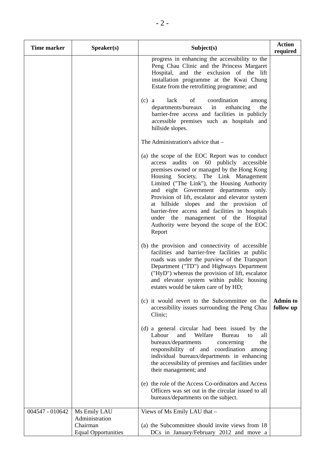| <b>Time marker</b> | Speaker(s)                             | Subject(s)                                                                                                                                                                                                                                                                                                                                                                                                                                                                                                                 | <b>Action</b><br>required    |
|--------------------|----------------------------------------|----------------------------------------------------------------------------------------------------------------------------------------------------------------------------------------------------------------------------------------------------------------------------------------------------------------------------------------------------------------------------------------------------------------------------------------------------------------------------------------------------------------------------|------------------------------|
|                    |                                        | progress in enhancing the accessibility to the<br>Peng Chau Clinic and the Princess Margaret<br>Hospital, and the exclusion of the lift<br>installation programme at the Kwai Chung<br>Estate from the retrofitting programme; and                                                                                                                                                                                                                                                                                         |                              |
|                    |                                        | lack<br>of<br>coordination<br>$(c)$ a<br>among<br>departments/bureaux<br>enhancing<br>in<br>the<br>barrier-free access and facilities in publicly<br>accessible premises such as hospitals and<br>hillside slopes.                                                                                                                                                                                                                                                                                                         |                              |
|                    |                                        | The Administration's advice that –                                                                                                                                                                                                                                                                                                                                                                                                                                                                                         |                              |
|                    |                                        | (a) the scope of the EOC Report was to conduct<br>access audits on 60 publicly accessible<br>premises owned or managed by the Hong Kong<br>Housing Society, The Link Management<br>Limited ("The Link"), the Housing Authority<br>and eight Government departments only.<br>Provision of lift, escalator and elevator system<br>at hillside slopes and the provision of<br>barrier-free access and facilities in hospitals<br>under the management of the Hospital<br>Authority were beyond the scope of the EOC<br>Report |                              |
|                    |                                        | (b) the provision and connectivity of accessible<br>facilities and barrier-free facilities at public<br>roads was under the purview of the Transport<br>Department ("TD") and Highways Department<br>("HyD") whereas the provision of lift, escalator<br>and elevator system within public housing<br>estates would be taken care of by HD;                                                                                                                                                                                |                              |
|                    |                                        | (c) it would revert to the Subcommittee on the<br>accessibility issues surrounding the Peng Chau<br>Clinic;                                                                                                                                                                                                                                                                                                                                                                                                                | <b>Admin to</b><br>follow up |
|                    |                                        | (d) a general circular had been issued by the<br>Welfare<br>Labour<br>and<br>Bureau<br>all<br>to<br>the<br>bureaux/departments<br>concerning<br>responsibility of and coordination<br>among<br>individual bureaux/departments in enhancing<br>the accessibility of premises and facilities under<br>their management; and                                                                                                                                                                                                  |                              |
|                    |                                        | (e) the role of the Access Co-ordinators and Access<br>Officers was set out in the circular issued to all<br>bureaux/departments on the subject.                                                                                                                                                                                                                                                                                                                                                                           |                              |
| 004547 - 010642    | Ms Emily LAU<br>Administration         | Views of Ms Emily LAU that -                                                                                                                                                                                                                                                                                                                                                                                                                                                                                               |                              |
|                    | Chairman<br><b>Equal Opportunities</b> | (a) the Subcommittee should invite views from 18<br>DCs in January/February 2012 and move a                                                                                                                                                                                                                                                                                                                                                                                                                                |                              |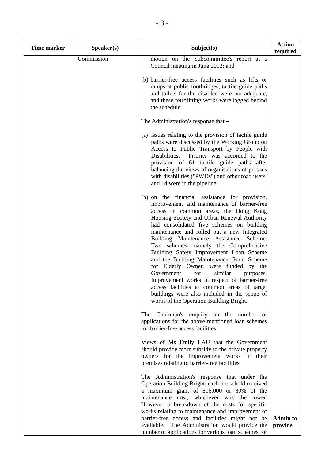| <b>Time marker</b> | Speaker(s) | Subject(s)                                                                                                                                                                                                                                                                                                                                                                                                                                                                                                                                                                                                                                                                                                                                    | <b>Action</b><br>required  |
|--------------------|------------|-----------------------------------------------------------------------------------------------------------------------------------------------------------------------------------------------------------------------------------------------------------------------------------------------------------------------------------------------------------------------------------------------------------------------------------------------------------------------------------------------------------------------------------------------------------------------------------------------------------------------------------------------------------------------------------------------------------------------------------------------|----------------------------|
|                    | Commission | motion on the Subcommittee's report at a<br>Council meeting in June 2012; and                                                                                                                                                                                                                                                                                                                                                                                                                                                                                                                                                                                                                                                                 |                            |
|                    |            | (b) barrier-free access facilities such as lifts or<br>ramps at public footbridges, tactile guide paths<br>and toilets for the disabled were not adequate,<br>and these retrofitting works were lagged behind<br>the schedule.                                                                                                                                                                                                                                                                                                                                                                                                                                                                                                                |                            |
|                    |            | The Administration's response that -                                                                                                                                                                                                                                                                                                                                                                                                                                                                                                                                                                                                                                                                                                          |                            |
|                    |            | (a) issues relating to the provision of tactile guide<br>paths were discussed by the Working Group on<br>Access to Public Transport by People with<br>Priority was accorded to the<br>Disabilities.<br>provision of 61 tactile guide paths after<br>balancing the views of organisations of persons<br>with disabilities ("PWDs") and other road users,<br>and 14 were in the pipeline;                                                                                                                                                                                                                                                                                                                                                       |                            |
|                    |            | (b) on the financial assistance for provision,<br>improvement and maintenance of barrier-free<br>access in common areas, the Hong Kong<br>Housing Society and Urban Renewal Authority<br>had consolidated five schemes on building<br>maintenance and rolled out a new Integrated<br>Building Maintenance Assistance Scheme.<br>Two schemes, namely the Comprehensive<br>Building Safety Improvement Loan Scheme<br>and the Building Maintenance Grant Scheme<br>for Elderly Owner, were funded by the<br>Government<br>for<br>similar<br>purposes.<br>Improvement works in respect of barrier-free<br>access facilities at common areas of target<br>buildings were also included in the scope of<br>works of the Operation Building Bright. |                            |
|                    |            | The Chairman's enquiry on the number of<br>applications for the above mentioned loan schemes<br>for barrier-free access facilities                                                                                                                                                                                                                                                                                                                                                                                                                                                                                                                                                                                                            |                            |
|                    |            | Views of Ms Emily LAU that the Government<br>should provide more subsidy to the private property<br>owners for the improvement works in their<br>premises relating to barrier-free facilities                                                                                                                                                                                                                                                                                                                                                                                                                                                                                                                                                 |                            |
|                    |            | The Administration's response that under the<br>Operation Building Bright, each household received<br>a maximum grant of \$16,000 or 80% of the<br>maintenance cost, whichever was the lower.<br>However, a breakdown of the costs for specific<br>works relating to maintenance and improvement of                                                                                                                                                                                                                                                                                                                                                                                                                                           |                            |
|                    |            | barrier-free access and facilities might not be<br>available. The Administration would provide the<br>number of applications for various loan schemes for                                                                                                                                                                                                                                                                                                                                                                                                                                                                                                                                                                                     | <b>Admin to</b><br>provide |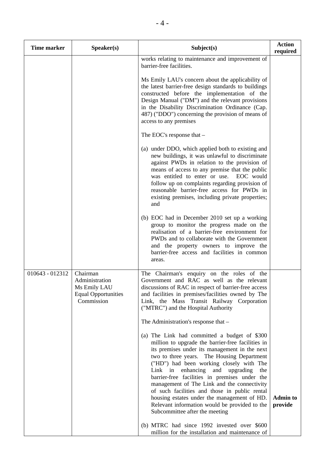| <b>Time marker</b> | Speaker(s)                                                                             | Subject(s)                                                                                                                                                                                                                                                                                                                                                                                                                                                                                                                                                                      | <b>Action</b><br>required  |
|--------------------|----------------------------------------------------------------------------------------|---------------------------------------------------------------------------------------------------------------------------------------------------------------------------------------------------------------------------------------------------------------------------------------------------------------------------------------------------------------------------------------------------------------------------------------------------------------------------------------------------------------------------------------------------------------------------------|----------------------------|
|                    |                                                                                        | works relating to maintenance and improvement of<br>barrier-free facilities.                                                                                                                                                                                                                                                                                                                                                                                                                                                                                                    |                            |
|                    |                                                                                        | Ms Emily LAU's concern about the applicability of<br>the latest barrier-free design standards to buildings<br>constructed before the implementation of the<br>Design Manual ("DM") and the relevant provisions<br>in the Disability Discrimination Ordinance (Cap.<br>487) ("DDO") concerning the provision of means of<br>access to any premises                                                                                                                                                                                                                               |                            |
|                    |                                                                                        | The EOC's response that $-$                                                                                                                                                                                                                                                                                                                                                                                                                                                                                                                                                     |                            |
|                    |                                                                                        | (a) under DDO, which applied both to existing and<br>new buildings, it was unlawful to discriminate<br>against PWDs in relation to the provision of<br>means of access to any premise that the public<br>was entitled to enter or use.<br>EOC would<br>follow up on complaints regarding provision of<br>reasonable barrier-free access for PWDs in<br>existing premises, including private properties;<br>and                                                                                                                                                                  |                            |
|                    |                                                                                        | (b) EOC had in December 2010 set up a working<br>group to monitor the progress made on the<br>realisation of a barrier-free environment for<br>PWDs and to collaborate with the Government<br>and the property owners to improve the<br>barrier-free access and facilities in common<br>areas.                                                                                                                                                                                                                                                                                  |                            |
| 010643 - 012312    | Chairman<br>Administration<br>Ms Emily LAU<br><b>Equal Opportunities</b><br>Commission | The Chairman's enquiry on the roles of the<br>Government and RAC as well as the relevant<br>discussions of RAC in respect of barrier-free access<br>and facilities in premises/facilities owned by The<br>Link, the Mass Transit Railway Corporation<br>("MTRC") and the Hospital Authority                                                                                                                                                                                                                                                                                     |                            |
|                    |                                                                                        | The Administration's response that -                                                                                                                                                                                                                                                                                                                                                                                                                                                                                                                                            |                            |
|                    |                                                                                        | (a) The Link had committed a budget of \$300<br>million to upgrade the barrier-free facilities in<br>its premises under its management in the next<br>two to three years. The Housing Department<br>("HD") had been working closely with The<br>Link in<br>enhancing and<br>upgrading<br>the<br>barrier-free facilities in premises under the<br>management of The Link and the connectivity<br>of such facilities and those in public rental<br>housing estates under the management of HD.<br>Relevant information would be provided to the<br>Subcommittee after the meeting | <b>Admin to</b><br>provide |
|                    |                                                                                        | (b) MTRC had since 1992 invested over \$600<br>million for the installation and maintenance of                                                                                                                                                                                                                                                                                                                                                                                                                                                                                  |                            |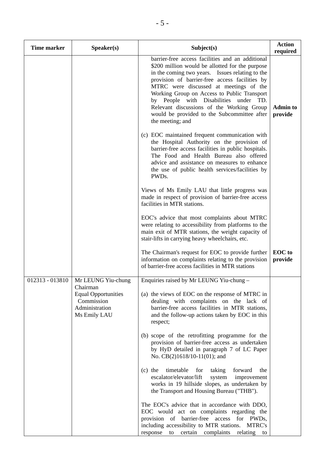| <b>Time marker</b> | Speaker(s)                                                                 | Subject(s)                                                                                                                                                                                                                                                                                                                                                                                                                                                 | <b>Action</b><br>required  |
|--------------------|----------------------------------------------------------------------------|------------------------------------------------------------------------------------------------------------------------------------------------------------------------------------------------------------------------------------------------------------------------------------------------------------------------------------------------------------------------------------------------------------------------------------------------------------|----------------------------|
|                    |                                                                            | barrier-free access facilities and an additional<br>\$200 million would be allotted for the purpose<br>in the coming two years. Issues relating to the<br>provision of barrier-free access facilities by<br>MTRC were discussed at meetings of the<br>Working Group on Access to Public Transport<br>by People with Disabilities under TD.<br>Relevant discussions of the Working Group<br>would be provided to the Subcommittee after<br>the meeting; and | <b>Admin to</b><br>provide |
|                    |                                                                            | (c) EOC maintained frequent communication with<br>the Hospital Authority on the provision of<br>barrier-free access facilities in public hospitals.<br>The Food and Health Bureau also offered<br>advice and assistance on measures to enhance<br>the use of public health services/facilities by<br>PWDs.                                                                                                                                                 |                            |
|                    |                                                                            | Views of Ms Emily LAU that little progress was<br>made in respect of provision of barrier-free access<br>facilities in MTR stations.                                                                                                                                                                                                                                                                                                                       |                            |
|                    |                                                                            | EOC's advice that most complaints about MTRC<br>were relating to accessibility from platforms to the<br>main exit of MTR stations, the weight capacity of<br>stair-lifts in carrying heavy wheelchairs, etc.                                                                                                                                                                                                                                               |                            |
|                    |                                                                            | The Chairman's request for EOC to provide further<br>information on complaints relating to the provision<br>of barrier-free access facilities in MTR stations                                                                                                                                                                                                                                                                                              | <b>EOC</b> to<br>provide   |
| 012313 - 013810    | Mr LEUNG Yiu-chung<br>Chairman                                             | Enquiries raised by Mr LEUNG Yiu-chung -                                                                                                                                                                                                                                                                                                                                                                                                                   |                            |
|                    | <b>Equal Opportunities</b><br>Commission<br>Administration<br>Ms Emily LAU | (a) the views of EOC on the response of MTRC in<br>dealing with complaints on the lack of<br>barrier-free access facilities in MTR stations,<br>and the follow-up actions taken by EOC in this<br>respect;                                                                                                                                                                                                                                                 |                            |
|                    |                                                                            | (b) scope of the retrofitting programme for the<br>provision of barrier-free access as undertaken<br>by HyD detailed in paragraph 7 of LC Paper<br>No. CB(2)1618/10-11(01); and                                                                                                                                                                                                                                                                            |                            |
|                    |                                                                            | timetable<br>$(c)$ the<br>for<br>taking<br>forward<br>the<br>escalator/elevator/lift<br>system<br>improvement<br>works in 19 hillside slopes, as undertaken by<br>the Transport and Housing Bureau ("THB").                                                                                                                                                                                                                                                |                            |
|                    |                                                                            | The EOC's advice that in accordance with DDO,<br>EOC would act on complaints regarding the<br>provision of barrier-free access for PWDs,<br>including accessibility to MTR stations. MTRC's<br>response to certain complaints relating to                                                                                                                                                                                                                  |                            |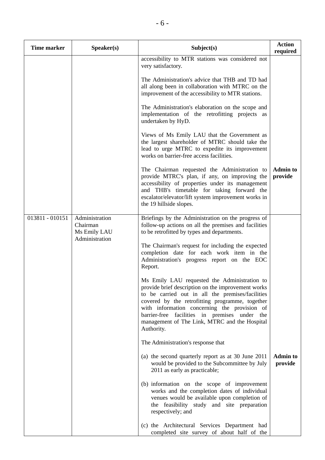| <b>Time marker</b> | Speaker(s)                                                   | Subject(s)                                                                                                                                                                                                                                                                                                                                                                | <b>Action</b><br>required  |
|--------------------|--------------------------------------------------------------|---------------------------------------------------------------------------------------------------------------------------------------------------------------------------------------------------------------------------------------------------------------------------------------------------------------------------------------------------------------------------|----------------------------|
|                    |                                                              | accessibility to MTR stations was considered not<br>very satisfactory.                                                                                                                                                                                                                                                                                                    |                            |
|                    |                                                              | The Administration's advice that THB and TD had<br>all along been in collaboration with MTRC on the<br>improvement of the accessibility to MTR stations.                                                                                                                                                                                                                  |                            |
|                    |                                                              | The Administration's elaboration on the scope and<br>implementation of the retrofitting projects as<br>undertaken by HyD.                                                                                                                                                                                                                                                 |                            |
|                    |                                                              | Views of Ms Emily LAU that the Government as<br>the largest shareholder of MTRC should take the<br>lead to urge MTRC to expedite its improvement<br>works on barrier-free access facilities.                                                                                                                                                                              |                            |
|                    |                                                              | The Chairman requested the Administration to<br>provide MTRC's plan, if any, on improving the<br>accessibility of properties under its management<br>and THB's timetable for taking forward the<br>escalator/elevator/lift system improvement works in<br>the 19 hillside slopes.                                                                                         | <b>Admin to</b><br>provide |
| 013811 - 010151    | Administration<br>Chairman<br>Ms Emily LAU<br>Administration | Briefings by the Administration on the progress of<br>follow-up actions on all the premises and facilities<br>to be retrofitted by types and departments.                                                                                                                                                                                                                 |                            |
|                    |                                                              | The Chairman's request for including the expected<br>completion date for each work item in the<br>Administration's progress report on the EOC<br>Report.                                                                                                                                                                                                                  |                            |
|                    |                                                              | Ms Emily LAU requested the Administration to<br>provide brief description on the improvement works<br>to be carried out in all the premises/facilities<br>covered by the retrofitting programme, together<br>with information concerning the provision of<br>barrier-free facilities in premises under the<br>management of The Link, MTRC and the Hospital<br>Authority. |                            |
|                    |                                                              | The Administration's response that                                                                                                                                                                                                                                                                                                                                        |                            |
|                    |                                                              | (a) the second quarterly report as at 30 June 2011<br>would be provided to the Subcommittee by July<br>2011 as early as practicable;                                                                                                                                                                                                                                      | <b>Admin to</b><br>provide |
|                    |                                                              | (b) information on the scope of improvement<br>works and the completion dates of individual<br>venues would be available upon completion of<br>the feasibility study and site preparation<br>respectively; and                                                                                                                                                            |                            |
|                    |                                                              | (c) the Architectural Services Department had<br>completed site survey of about half of the                                                                                                                                                                                                                                                                               |                            |